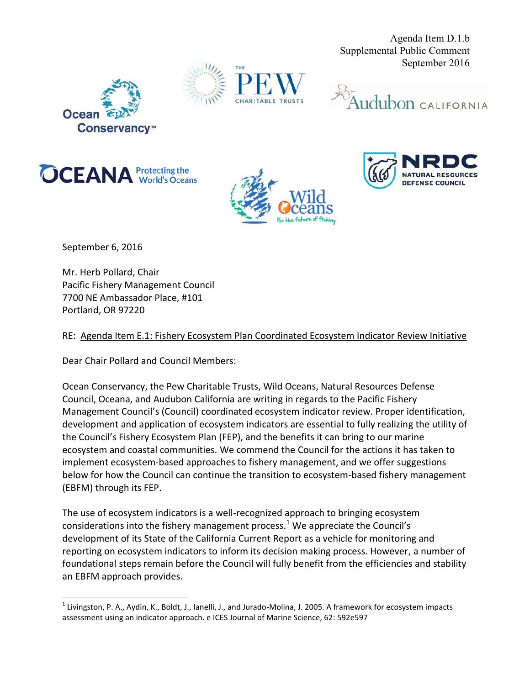Agenda Item D.1.b Supplemental Public Comment September 2016













September 6, 2016

Mr. Herb Pollard, Chair Pacific Fishery Management Council 7700 NE Ambassador Place, #101 Portland, OR 97220

#### RE: Agenda Item E.1: Fishery Ecosystem Plan Coordinated Ecosystem Indicator Review Initiative

Dear Chair Pollard and Council Members:

Ocean Conservancy, the Pew Charitable Trusts, Wild Oceans, Natural Resources Defense Council, Oceana, and Audubon California are writing in regards to the Pacific Fishery Management Council's (Council) coordinated ecosystem indicator review. Proper identification, development and application of ecosystem indicators are essential to fully realizing the utility of the Council's Fishery Ecosystem Plan (FEP), and the benefits it can bring to our marine ecosystem and coastal communities. We commend the Council for the actions it has taken to implement ecosystem-based approaches to fishery management, and we offer suggestions below for how the Council can continue the transition to ecosystem-based fishery management (EBFM) through its FEP.

The use of ecosystem indicators is a well-recognized approach to bringing ecosystem considerations into the fishery management process.<sup>1</sup> We appreciate the Council's development of its State of the California Current Report as a vehicle for monitoring and reporting on ecosystem indicators to inform its decision making process. However, a number of foundational steps remain before the Council will fully benefit from the efficiencies and stability an EBFM approach provides.

 $^1$  Livingston, P. A., Aydin, K., Boldt, J., Ianelli, J., and Jurado-Molina, J. 2005. A framework for ecosystem impacts assessment using an indicator approach. e ICES Journal of Marine Science, 62: 592e597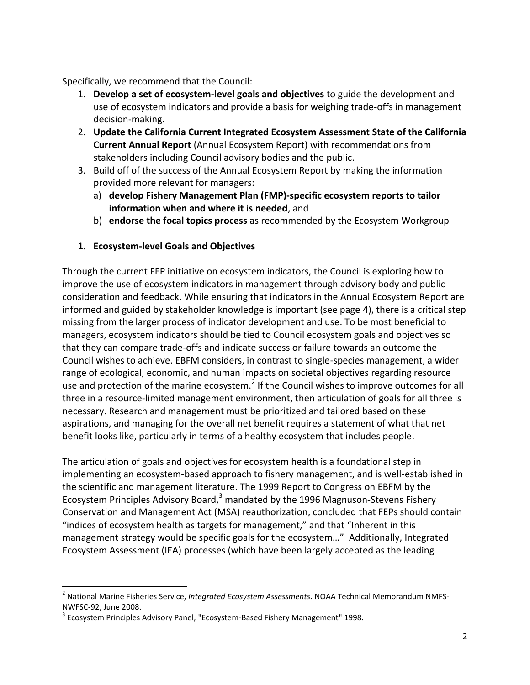Specifically, we recommend that the Council:

- 1. **Develop a set of ecosystem-level goals and objectives** to guide the development and use of ecosystem indicators and provide a basis for weighing trade-offs in management decision-making.
- 2. **Update the California Current Integrated Ecosystem Assessment State of the California Current Annual Report** (Annual Ecosystem Report) with recommendations from stakeholders including Council advisory bodies and the public.
- 3. Build off of the success of the Annual Ecosystem Report by making the information provided more relevant for managers:
	- a) **develop Fishery Management Plan (FMP)-specific ecosystem reports to tailor information when and where it is needed**, and
	- b) **endorse the focal topics process** as recommended by the Ecosystem Workgroup

#### **1. Ecosystem-level Goals and Objectives**

Through the current FEP initiative on ecosystem indicators, the Council is exploring how to improve the use of ecosystem indicators in management through advisory body and public consideration and feedback. While ensuring that indicators in the Annual Ecosystem Report are informed and guided by stakeholder knowledge is important (see page 4), there is a critical step missing from the larger process of indicator development and use. To be most beneficial to managers, ecosystem indicators should be tied to Council ecosystem goals and objectives so that they can compare trade-offs and indicate success or failure towards an outcome the Council wishes to achieve. EBFM considers, in contrast to single-species management, a wider range of ecological, economic, and human impacts on societal objectives regarding resource use and protection of the marine ecosystem.<sup>2</sup> If the Council wishes to improve outcomes for all three in a resource-limited management environment, then articulation of goals for all three is necessary. Research and management must be prioritized and tailored based on these aspirations, and managing for the overall net benefit requires a statement of what that net benefit looks like, particularly in terms of a healthy ecosystem that includes people.

The articulation of goals and objectives for ecosystem health is a foundational step in implementing an ecosystem-based approach to fishery management, and is well-established in the scientific and management literature. The 1999 Report to Congress on EBFM by the Ecosystem Principles Advisory Board, $3$  mandated by the 1996 Magnuson-Stevens Fishery Conservation and Management Act (MSA) reauthorization, concluded that FEPs should contain "indices of ecosystem health as targets for management," and that "Inherent in this management strategy would be specific goals for the ecosystem…" Additionally, Integrated Ecosystem Assessment (IEA) processes (which have been largely accepted as the leading

 $\overline{\phantom{a}}$ 

<sup>2</sup> National Marine Fisheries Service, *Integrated Ecosystem Assessments*. NOAA Technical Memorandum NMFS-NWFSC-92, June 2008.

 $^3$  Ecosystem Principles Advisory Panel, "Ecosystem-Based Fishery Management" 1998.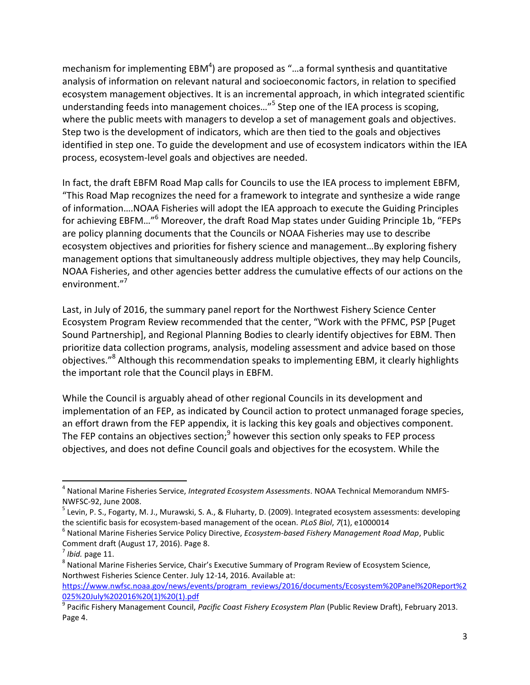mechanism for implementing EBM<sup>4</sup>) are proposed as "...a formal synthesis and quantitative analysis of information on relevant natural and socioeconomic factors, in relation to specified ecosystem management objectives. It is an incremental approach, in which integrated scientific understanding feeds into management choices..."<sup>5</sup> Step one of the IEA process is scoping, where the public meets with managers to develop a set of management goals and objectives. Step two is the development of indicators, which are then tied to the goals and objectives identified in step one. To guide the development and use of ecosystem indicators within the IEA process, ecosystem-level goals and objectives are needed.

In fact, the draft EBFM Road Map calls for Councils to use the IEA process to implement EBFM, "This Road Map recognizes the need for a framework to integrate and synthesize a wide range of information….NOAA Fisheries will adopt the IEA approach to execute the Guiding Principles for achieving EBFM…"<sup>6</sup> Moreover, the draft Road Map states under Guiding Principle 1b, "FEPs are policy planning documents that the Councils or NOAA Fisheries may use to describe ecosystem objectives and priorities for fishery science and management…By exploring fishery management options that simultaneously address multiple objectives, they may help Councils, NOAA Fisheries, and other agencies better address the cumulative effects of our actions on the environment."<sup>7</sup>

Last, in July of 2016, the summary panel report for the Northwest Fishery Science Center Ecosystem Program Review recommended that the center, "Work with the PFMC, PSP [Puget Sound Partnership], and Regional Planning Bodies to clearly identify objectives for EBM. Then prioritize data collection programs, analysis, modeling assessment and advice based on those objectives."<sup>8</sup> Although this recommendation speaks to implementing EBM, it clearly highlights the important role that the Council plays in EBFM.

While the Council is arguably ahead of other regional Councils in its development and implementation of an FEP, as indicated by Council action to protect unmanaged forage species, an effort drawn from the FEP appendix, it is lacking this key goals and objectives component. The FEP contains an objectives section;<sup>9</sup> however this section only speaks to FEP process objectives, and does not define Council goals and objectives for the ecosystem. While the

 $\overline{a}$ 

<sup>4</sup> National Marine Fisheries Service, *Integrated Ecosystem Assessments*. NOAA Technical Memorandum NMFS-NWFSC-92, June 2008.

<sup>&</sup>lt;sup>5</sup> Levin, P. S., Fogarty, M. J., Murawski, S. A., & Fluharty, D. (2009). Integrated ecosystem assessments: developing the scientific basis for ecosystem-based management of the ocean. *PLoS Biol*, *7*(1), e1000014

<sup>6</sup> National Marine Fisheries Service Policy Directive, *Ecosystem-based Fishery Management Road Map*, Public Comment draft (August 17, 2016). Page 8.

<sup>7</sup> *Ibid.* page 11.

 $^8$  National Marine Fisheries Service, Chair's Executive Summary of Program Review of Ecosystem Science, Northwest Fisheries Science Center. July 12-14, 2016. Available at:

[https://www.nwfsc.noaa.gov/news/events/program\\_reviews/2016/documents/Ecosystem%20Panel%20Report%2](https://www.nwfsc.noaa.gov/news/events/program_reviews/2016/documents/Ecosystem%20Panel%20Report%2025%20July%202016%20(1)%20(1).pdf) [025%20July%202016%20\(1\)%20\(1\).pdf](https://www.nwfsc.noaa.gov/news/events/program_reviews/2016/documents/Ecosystem%20Panel%20Report%2025%20July%202016%20(1)%20(1).pdf)

<sup>9</sup> Pacific Fishery Management Council, *Pacific Coast Fishery Ecosystem Plan* (Public Review Draft), February 2013. Page 4.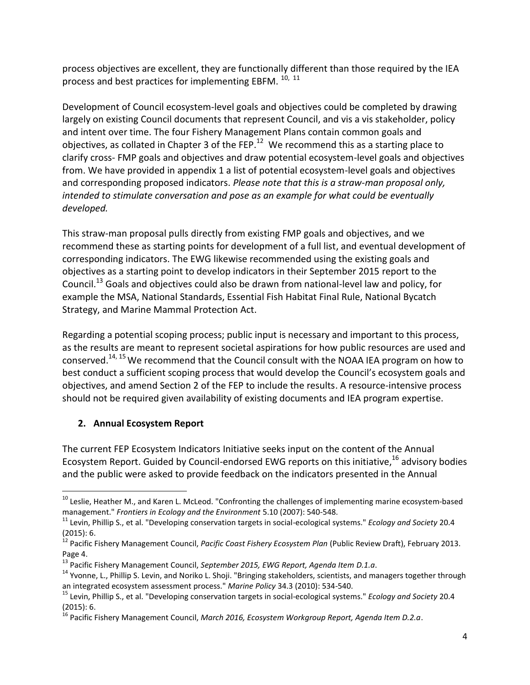process objectives are excellent, they are functionally different than those required by the IEA process and best practices for implementing EBFM.<sup>10, 11</sup>

Development of Council ecosystem-level goals and objectives could be completed by drawing largely on existing Council documents that represent Council, and vis a vis stakeholder, policy and intent over time. The four Fishery Management Plans contain common goals and objectives, as collated in Chapter 3 of the FEP.<sup>12</sup> We recommend this as a starting place to clarify cross- FMP goals and objectives and draw potential ecosystem-level goals and objectives from. We have provided in appendix 1 a list of potential ecosystem-level goals and objectives and corresponding proposed indicators. *Please note that this is a straw-man proposal only, intended to stimulate conversation and pose as an example for what could be eventually developed.*

This straw-man proposal pulls directly from existing FMP goals and objectives, and we recommend these as starting points for development of a full list, and eventual development of corresponding indicators. The EWG likewise recommended using the existing goals and objectives as a starting point to develop indicators in their September 2015 report to the Council.<sup>13</sup> Goals and objectives could also be drawn from national-level law and policy, for example the MSA, National Standards, Essential Fish Habitat Final Rule, National Bycatch Strategy, and Marine Mammal Protection Act.

Regarding a potential scoping process; public input is necessary and important to this process, as the results are meant to represent societal aspirations for how public resources are used and conserved.<sup>14, 15</sup> We recommend that the Council consult with the NOAA IEA program on how to best conduct a sufficient scoping process that would develop the Council's ecosystem goals and objectives, and amend Section 2 of the FEP to include the results. A resource-intensive process should not be required given availability of existing documents and IEA program expertise.

# **2. Annual Ecosystem Report**

The current FEP Ecosystem Indicators Initiative seeks input on the content of the Annual Ecosystem Report. Guided by Council-endorsed EWG reports on this initiative,<sup>16</sup> advisory bodies and the public were asked to provide feedback on the indicators presented in the Annual

 $\overline{\phantom{a}}$ <sup>10</sup> Leslie, Heather M., and Karen L. McLeod. "Confronting the challenges of implementing marine ecosystem-based management." *Frontiers in Ecology and the Environment* 5.10 (2007): 540-548.

<sup>&</sup>lt;sup>11</sup> Levin, Phillip S., et al. "Developing conservation targets in social-ecological systems." *Ecology and Society* 20.4 (2015): 6.

<sup>12</sup> Pacific Fishery Management Council, *Pacific Coast Fishery Ecosystem Plan* (Public Review Draft), February 2013. Page 4.

<sup>13</sup> Pacific Fishery Management Council, *September 2015, EWG Report, Agenda Item D.1.a*.

<sup>&</sup>lt;sup>14</sup> Yvonne, L., Phillip S. Levin, and Noriko L. Shoji. "Bringing stakeholders, scientists, and managers together through an integrated ecosystem assessment process." *Marine Policy* 34.3 (2010): 534-540.

<sup>15</sup> Levin, Phillip S., et al. "Developing conservation targets in social-ecological systems." *Ecology and Society* 20.4 (2015): 6.

<sup>16</sup> Pacific Fishery Management Council, *March 2016, Ecosystem Workgroup Report, Agenda Item D.2.a*.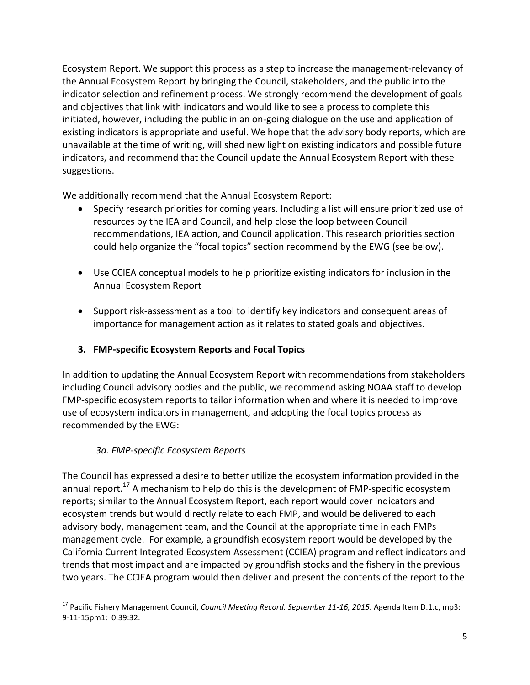Ecosystem Report. We support this process as a step to increase the management-relevancy of the Annual Ecosystem Report by bringing the Council, stakeholders, and the public into the indicator selection and refinement process. We strongly recommend the development of goals and objectives that link with indicators and would like to see a process to complete this initiated, however, including the public in an on-going dialogue on the use and application of existing indicators is appropriate and useful. We hope that the advisory body reports, which are unavailable at the time of writing, will shed new light on existing indicators and possible future indicators, and recommend that the Council update the Annual Ecosystem Report with these suggestions.

We additionally recommend that the Annual Ecosystem Report:

- Specify research priorities for coming years. Including a list will ensure prioritized use of resources by the IEA and Council, and help close the loop between Council recommendations, IEA action, and Council application. This research priorities section could help organize the "focal topics" section recommend by the EWG (see below).
- Use CCIEA conceptual models to help prioritize existing indicators for inclusion in the Annual Ecosystem Report
- Support risk-assessment as a tool to identify key indicators and consequent areas of importance for management action as it relates to stated goals and objectives.

# **3. FMP-specific Ecosystem Reports and Focal Topics**

In addition to updating the Annual Ecosystem Report with recommendations from stakeholders including Council advisory bodies and the public, we recommend asking NOAA staff to develop FMP-specific ecosystem reports to tailor information when and where it is needed to improve use of ecosystem indicators in management, and adopting the focal topics process as recommended by the EWG:

# *3a. FMP-specific Ecosystem Reports*

The Council has expressed a desire to better utilize the ecosystem information provided in the annual report.<sup>17</sup> A mechanism to help do this is the development of FMP-specific ecosystem reports; similar to the Annual Ecosystem Report, each report would cover indicators and ecosystem trends but would directly relate to each FMP, and would be delivered to each advisory body, management team, and the Council at the appropriate time in each FMPs management cycle. For example, a groundfish ecosystem report would be developed by the California Current Integrated Ecosystem Assessment (CCIEA) program and reflect indicators and trends that most impact and are impacted by groundfish stocks and the fishery in the previous two years. The CCIEA program would then deliver and present the contents of the report to the

l <sup>17</sup> Pacific Fishery Management Council, *Council Meeting Record. September 11-16, 2015*. Agenda Item D.1.c, mp3: 9-11-15pm1: 0:39:32.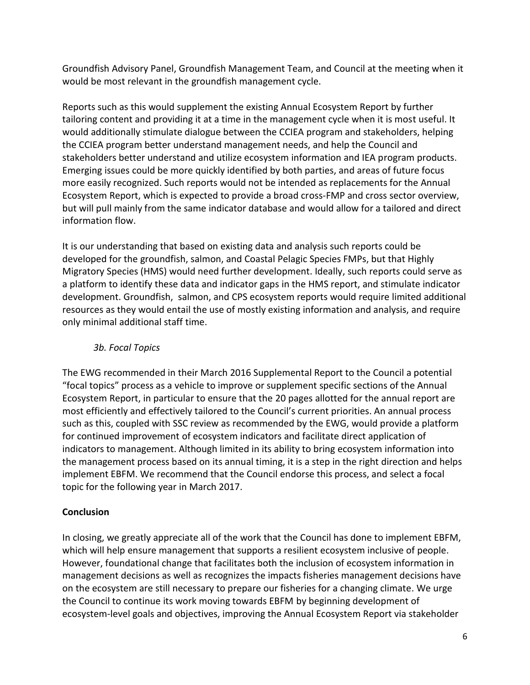Groundfish Advisory Panel, Groundfish Management Team, and Council at the meeting when it would be most relevant in the groundfish management cycle.

Reports such as this would supplement the existing Annual Ecosystem Report by further tailoring content and providing it at a time in the management cycle when it is most useful. It would additionally stimulate dialogue between the CCIEA program and stakeholders, helping the CCIEA program better understand management needs, and help the Council and stakeholders better understand and utilize ecosystem information and IEA program products. Emerging issues could be more quickly identified by both parties, and areas of future focus more easily recognized. Such reports would not be intended as replacements for the Annual Ecosystem Report, which is expected to provide a broad cross-FMP and cross sector overview, but will pull mainly from the same indicator database and would allow for a tailored and direct information flow.

It is our understanding that based on existing data and analysis such reports could be developed for the groundfish, salmon, and Coastal Pelagic Species FMPs, but that Highly Migratory Species (HMS) would need further development. Ideally, such reports could serve as a platform to identify these data and indicator gaps in the HMS report, and stimulate indicator development. Groundfish, salmon, and CPS ecosystem reports would require limited additional resources as they would entail the use of mostly existing information and analysis, and require only minimal additional staff time.

# *3b. Focal Topics*

The EWG recommended in their March 2016 Supplemental Report to the Council a potential "focal topics" process as a vehicle to improve or supplement specific sections of the Annual Ecosystem Report, in particular to ensure that the 20 pages allotted for the annual report are most efficiently and effectively tailored to the Council's current priorities. An annual process such as this, coupled with SSC review as recommended by the EWG, would provide a platform for continued improvement of ecosystem indicators and facilitate direct application of indicators to management. Although limited in its ability to bring ecosystem information into the management process based on its annual timing, it is a step in the right direction and helps implement EBFM. We recommend that the Council endorse this process, and select a focal topic for the following year in March 2017.

# **Conclusion**

In closing, we greatly appreciate all of the work that the Council has done to implement EBFM, which will help ensure management that supports a resilient ecosystem inclusive of people. However, foundational change that facilitates both the inclusion of ecosystem information in management decisions as well as recognizes the impacts fisheries management decisions have on the ecosystem are still necessary to prepare our fisheries for a changing climate. We urge the Council to continue its work moving towards EBFM by beginning development of ecosystem-level goals and objectives, improving the Annual Ecosystem Report via stakeholder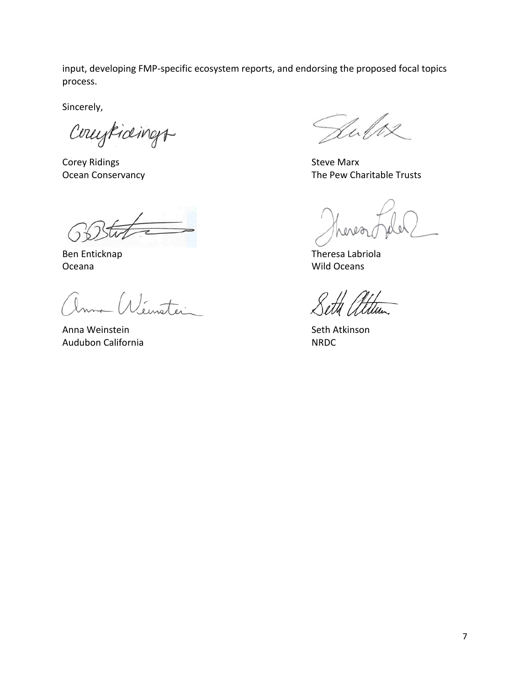input, developing FMP-specific ecosystem reports, and endorsing the proposed focal topics process.

Sincerely,

Conceptionings

Corey Ridings **Steve Marx** 

Oceana Wild Oceans

Wéinster

Anna Weinstein Seth Atkinson Audubon California NRDC

Sulve

Ocean Conservancy **The Pew Charitable Trusts** 

Ben Enticknap Theresa Labriola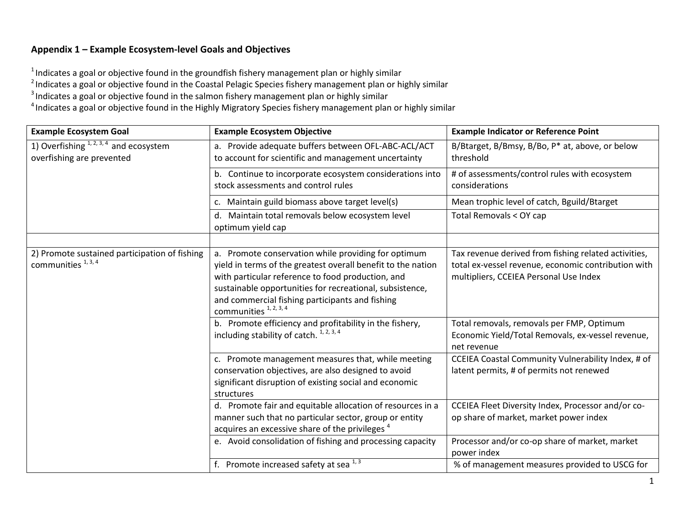# **Appendix 1 – Example Ecosystem-level Goals and Objectives**

 $1$ Indicates a goal or objective found in the groundfish fishery management plan or highly similar

<sup>2</sup> Indicates a goal or objective found in the Coastal Pelagic Species fishery management plan or highly similar

 $3$ Indicates a goal or objective found in the salmon fishery management plan or highly similar

<sup>4</sup> Indicates a goal or objective found in the Highly Migratory Species fishery management plan or highly similar

| <b>Example Ecosystem Goal</b>                                                   | <b>Example Ecosystem Objective</b>                                                                                                                                                                                                                                                                                | <b>Example Indicator or Reference Point</b>                                                                                                           |
|---------------------------------------------------------------------------------|-------------------------------------------------------------------------------------------------------------------------------------------------------------------------------------------------------------------------------------------------------------------------------------------------------------------|-------------------------------------------------------------------------------------------------------------------------------------------------------|
| 1) Overfishing $1, 2, 3, 4$ and ecosystem<br>overfishing are prevented          | a. Provide adequate buffers between OFL-ABC-ACL/ACT<br>to account for scientific and management uncertainty                                                                                                                                                                                                       | B/Btarget, B/Bmsy, B/Bo, P* at, above, or below<br>threshold                                                                                          |
|                                                                                 | b. Continue to incorporate ecosystem considerations into<br>stock assessments and control rules                                                                                                                                                                                                                   | # of assessments/control rules with ecosystem<br>considerations                                                                                       |
|                                                                                 | c. Maintain guild biomass above target level(s)                                                                                                                                                                                                                                                                   | Mean trophic level of catch, Bguild/Btarget                                                                                                           |
|                                                                                 | d. Maintain total removals below ecosystem level<br>optimum yield cap                                                                                                                                                                                                                                             | Total Removals < OY cap                                                                                                                               |
|                                                                                 |                                                                                                                                                                                                                                                                                                                   |                                                                                                                                                       |
| 2) Promote sustained participation of fishing<br>communities <sup>1, 3, 4</sup> | a. Promote conservation while providing for optimum<br>yield in terms of the greatest overall benefit to the nation<br>with particular reference to food production, and<br>sustainable opportunities for recreational, subsistence,<br>and commercial fishing participants and fishing<br>communities 1, 2, 3, 4 | Tax revenue derived from fishing related activities,<br>total ex-vessel revenue, economic contribution with<br>multipliers, CCEIEA Personal Use Index |
|                                                                                 | b. Promote efficiency and profitability in the fishery,<br>including stability of catch. $1, 2, 3, 4$                                                                                                                                                                                                             | Total removals, removals per FMP, Optimum<br>Economic Yield/Total Removals, ex-vessel revenue,<br>net revenue                                         |
|                                                                                 | c. Promote management measures that, while meeting<br>conservation objectives, are also designed to avoid<br>significant disruption of existing social and economic<br>structures                                                                                                                                 | CCEIEA Coastal Community Vulnerability Index, # of<br>latent permits, # of permits not renewed                                                        |
|                                                                                 | d. Promote fair and equitable allocation of resources in a                                                                                                                                                                                                                                                        | CCEIEA Fleet Diversity Index, Processor and/or co-                                                                                                    |
|                                                                                 | manner such that no particular sector, group or entity<br>acquires an excessive share of the privileges <sup>4</sup>                                                                                                                                                                                              | op share of market, market power index                                                                                                                |
|                                                                                 | e. Avoid consolidation of fishing and processing capacity                                                                                                                                                                                                                                                         | Processor and/or co-op share of market, market<br>power index                                                                                         |
|                                                                                 | f. Promote increased safety at sea $^{1,3}$                                                                                                                                                                                                                                                                       | % of management measures provided to USCG for                                                                                                         |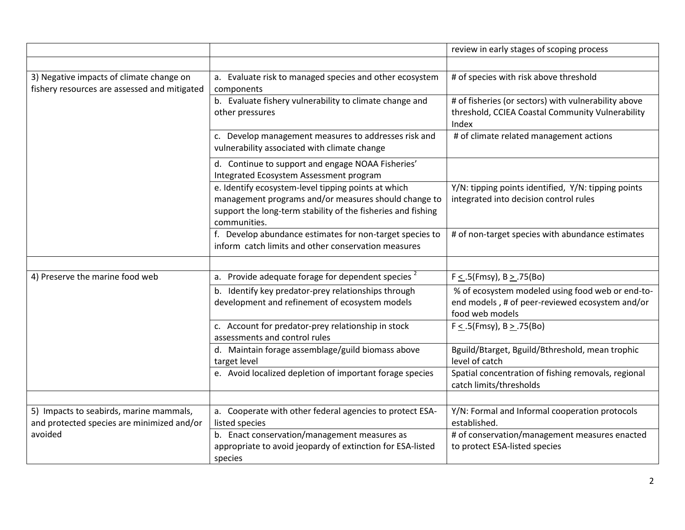|                                                                                          |                                                                                                                                                                                             | review in early stages of scoping process                                                                              |
|------------------------------------------------------------------------------------------|---------------------------------------------------------------------------------------------------------------------------------------------------------------------------------------------|------------------------------------------------------------------------------------------------------------------------|
|                                                                                          |                                                                                                                                                                                             |                                                                                                                        |
| 3) Negative impacts of climate change on<br>fishery resources are assessed and mitigated | a. Evaluate risk to managed species and other ecosystem<br>components                                                                                                                       | # of species with risk above threshold                                                                                 |
|                                                                                          | b. Evaluate fishery vulnerability to climate change and<br>other pressures                                                                                                                  | # of fisheries (or sectors) with vulnerability above<br>threshold, CCIEA Coastal Community Vulnerability<br>Index      |
|                                                                                          | c. Develop management measures to addresses risk and<br>vulnerability associated with climate change                                                                                        | # of climate related management actions                                                                                |
|                                                                                          | d. Continue to support and engage NOAA Fisheries'<br>Integrated Ecosystem Assessment program                                                                                                |                                                                                                                        |
|                                                                                          | e. Identify ecosystem-level tipping points at which<br>management programs and/or measures should change to<br>support the long-term stability of the fisheries and fishing<br>communities. | Y/N: tipping points identified, Y/N: tipping points<br>integrated into decision control rules                          |
|                                                                                          | f. Develop abundance estimates for non-target species to<br>inform catch limits and other conservation measures                                                                             | # of non-target species with abundance estimates                                                                       |
|                                                                                          |                                                                                                                                                                                             |                                                                                                                        |
| 4) Preserve the marine food web                                                          | a. Provide adequate forage for dependent species <sup>2</sup>                                                                                                                               | $F \le .5$ (Fmsy), B $\ge .75$ (Bo)                                                                                    |
|                                                                                          | b. Identify key predator-prey relationships through<br>development and refinement of ecosystem models                                                                                       | % of ecosystem modeled using food web or end-to-<br>end models, # of peer-reviewed ecosystem and/or<br>food web models |
|                                                                                          | c. Account for predator-prey relationship in stock<br>assessments and control rules                                                                                                         | $F \leq .5$ (Fmsy), B $\geq .75$ (Bo)                                                                                  |
|                                                                                          | d. Maintain forage assemblage/guild biomass above<br>target level                                                                                                                           | Bguild/Btarget, Bguild/Bthreshold, mean trophic<br>level of catch                                                      |
|                                                                                          | e. Avoid localized depletion of important forage species                                                                                                                                    | Spatial concentration of fishing removals, regional<br>catch limits/thresholds                                         |
|                                                                                          |                                                                                                                                                                                             |                                                                                                                        |
| 5) Impacts to seabirds, marine mammals,<br>and protected species are minimized and/or    | a. Cooperate with other federal agencies to protect ESA-<br>listed species                                                                                                                  | Y/N: Formal and Informal cooperation protocols<br>established.                                                         |
| avoided                                                                                  | b. Enact conservation/management measures as<br>appropriate to avoid jeopardy of extinction for ESA-listed<br>species                                                                       | # of conservation/management measures enacted<br>to protect ESA-listed species                                         |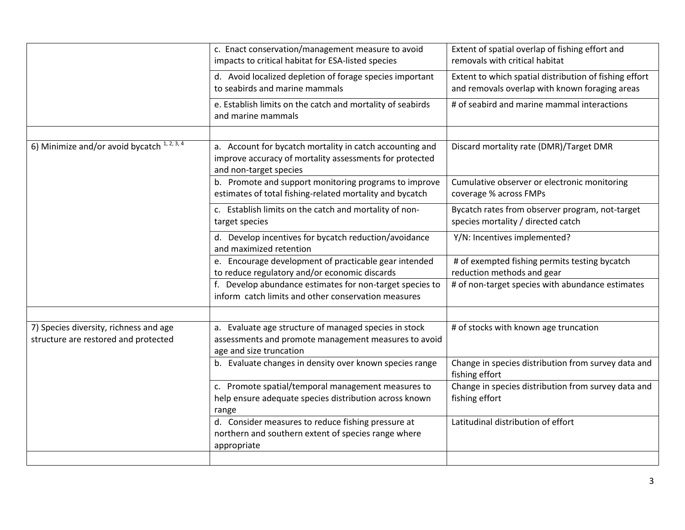|                                                                                | c. Enact conservation/management measure to avoid<br>impacts to critical habitat for ESA-listed species                                       | Extent of spatial overlap of fishing effort and<br>removals with critical habitat                        |
|--------------------------------------------------------------------------------|-----------------------------------------------------------------------------------------------------------------------------------------------|----------------------------------------------------------------------------------------------------------|
|                                                                                | d. Avoid localized depletion of forage species important<br>to seabirds and marine mammals                                                    | Extent to which spatial distribution of fishing effort<br>and removals overlap with known foraging areas |
|                                                                                | e. Establish limits on the catch and mortality of seabirds<br>and marine mammals                                                              | # of seabird and marine mammal interactions                                                              |
|                                                                                |                                                                                                                                               |                                                                                                          |
| 6) Minimize and/or avoid bycatch $1, 2, 3, 4$                                  | a. Account for bycatch mortality in catch accounting and<br>improve accuracy of mortality assessments for protected<br>and non-target species | Discard mortality rate (DMR)/Target DMR                                                                  |
|                                                                                | b. Promote and support monitoring programs to improve<br>estimates of total fishing-related mortality and bycatch                             | Cumulative observer or electronic monitoring<br>coverage % across FMPs                                   |
|                                                                                | c. Establish limits on the catch and mortality of non-<br>target species                                                                      | Bycatch rates from observer program, not-target<br>species mortality / directed catch                    |
|                                                                                | d. Develop incentives for bycatch reduction/avoidance<br>and maximized retention                                                              | Y/N: Incentives implemented?                                                                             |
|                                                                                | e. Encourage development of practicable gear intended<br>to reduce regulatory and/or economic discards                                        | # of exempted fishing permits testing bycatch<br>reduction methods and gear                              |
|                                                                                | f. Develop abundance estimates for non-target species to<br>inform catch limits and other conservation measures                               | # of non-target species with abundance estimates                                                         |
|                                                                                |                                                                                                                                               |                                                                                                          |
| 7) Species diversity, richness and age<br>structure are restored and protected | a. Evaluate age structure of managed species in stock<br>assessments and promote management measures to avoid<br>age and size truncation      | # of stocks with known age truncation                                                                    |
|                                                                                | b. Evaluate changes in density over known species range                                                                                       | Change in species distribution from survey data and<br>fishing effort                                    |
|                                                                                | c. Promote spatial/temporal management measures to<br>help ensure adequate species distribution across known<br>range                         | Change in species distribution from survey data and<br>fishing effort                                    |
|                                                                                | d. Consider measures to reduce fishing pressure at<br>northern and southern extent of species range where<br>appropriate                      | Latitudinal distribution of effort                                                                       |
|                                                                                |                                                                                                                                               |                                                                                                          |